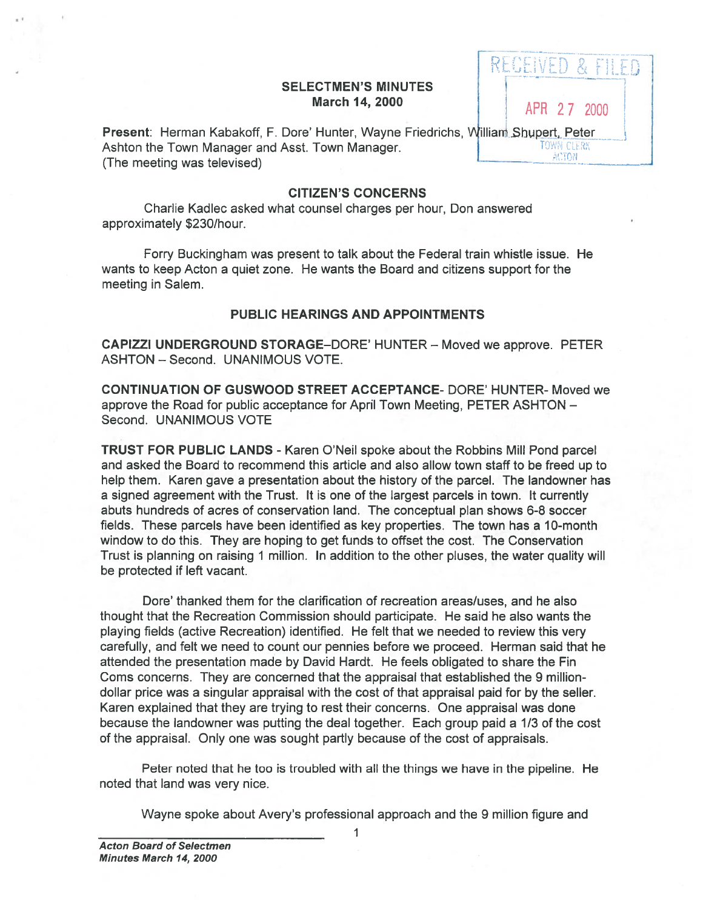## SELECTMEN'S MINUTES **March 14, 2000** APR 2.7 2000

RECEIVED & FILED

Present: Herman Kabakoff, F. Dore' Hunter, Wayne Friedrichs, William Shupert, Peter Ashton the Town Manager and Asst. Town Manager.<br>(The meeting was televised)

## CITIZEN'S CONCERNS

Charlie Kadlec asked what counsel charges per hour, Don answered approximately \$230/hour.

Forry Buckingham was presen<sup>t</sup> to talk about the Federal train whistle issue. He wants to keep Acton <sup>a</sup> quiet zone. He wants the Board and citizens suppor<sup>t</sup> for the meeting in Salem.

## PUBLIC HEARINGS AND APPOINTMENTS

CAPIZZI UNDERGROUND STORAGE—DORE' HUNTER — Moved we approve. PETER ASHTON — Second. UNANIMOUS VOTE.

CONTINUATION OF GUSWOOD STREET ACCEPTANCE- DORE' HUNTER- Moved we approve the Road for public acceptance for April Town Meeting, PETER ASHTON — Second. UNANIMOUS VOTE

TRUST FOR PUBLIC LANDS - Karen O'Neil spoke about the Robbins Mill Pond parcel and asked the Board to recommend this article and also allow town staff to be freed up to help them. Karen gave <sup>a</sup> presentation about the history of the parcel. The landowner has <sup>a</sup> signed agreemen<sup>t</sup> with the Trust. It is one of the largest parcels in town. It currently abuts hundreds of acres of conservation land. The conceptual plan shows 6-8 soccer fields. These parcels have been identified as key properties. The town has <sup>a</sup> 10-month window to do this. They are hoping to ge<sup>t</sup> funds to offset the cost. The Conservation Trust is planning on raising 1 million. In addition to the other pluses, the water quality will be protected if left vacant.

Dore' thanked them for the clarification of recreation areas/uses, and he also thought that the Recreation Commission should participate. He said he also wants the playing fields (active Recreation) identified. He felt that we needed to review this very carefully, and felt we need to count our pennies before we proceed. Herman said that he attended the presentation made by David Hardt. He feels obligated to share the Fin Coms concerns. They are concerned that the appraisal that established the 9 milliondollar price was <sup>a</sup> singular appraisal with the cost of that appraisal paid for by the seller. Karen explained that they are trying to rest their concerns. One appraisal was done because the landowner was putting the deal together. Each group paid <sup>a</sup> 1/3 of the cost of the appraisal. Only one was sought partly because of the cost of appraisals. SELECTMEN'S MINUTES<br>
SELECTMEN'S MINOTES<br>
APROVIDENT ACROUS<br>
ARR 27 Minima Shopert, Petrolic metroporal approximations and Asst Cover Hunder, Wayne Friedrichs, Williams Shopert, Petroporal and the Town Minima Shopert, Petr

Peter noted that he too is troubled with all the things we have in the pipeline. He noted that land was very nice.

1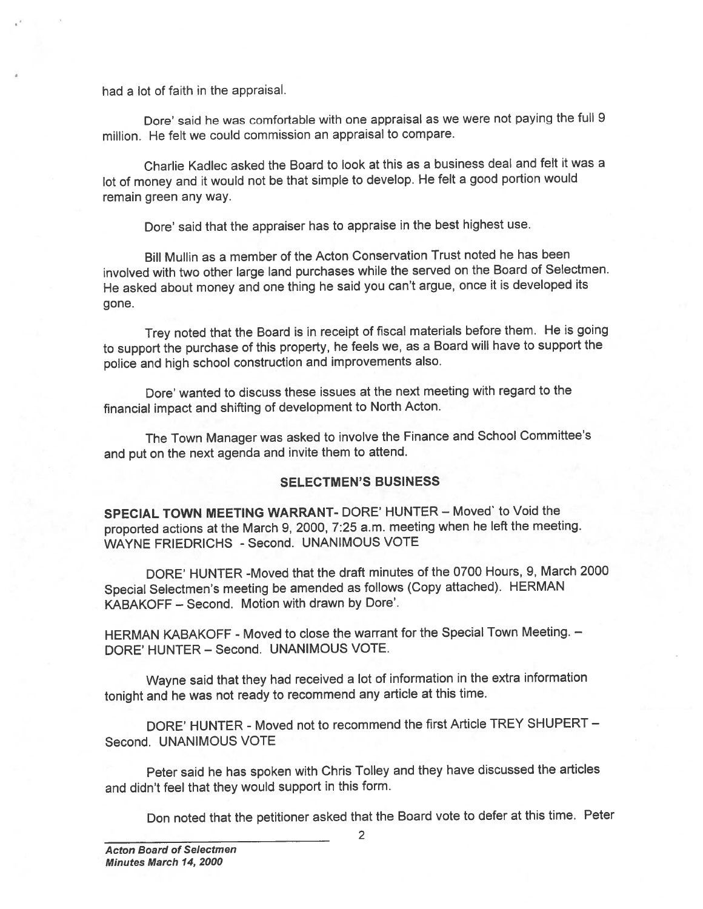had <sup>a</sup> lot of faith in the appraisal.

Dore' said he was comfortable with one appraisal as we were not paying the full <sup>9</sup> million. He felt we could commission an appraisal to compare.

Charlie Kadlec asked the Board to look at this as <sup>a</sup> business deal and felt it was <sup>a</sup> lot of money and it would not be that simple to develop. He felt <sup>a</sup> goo<sup>d</sup> portion would remain green any way.

Dore' said that the appraiser has to appraise in the best highest use.

Bill Mullin as <sup>a</sup> member of the Acton Conservation Trust noted he has been involved with two other large land purchases while the served on the Board of Selectmen. He asked about money and one thing he said you can't argue, once it is developed its gone.

Trey noted that the Board is in receipt of fiscal materials before them. He is going to suppor<sup>t</sup> the purchase of this property, he feels we, as <sup>a</sup> Board will have to suppor<sup>t</sup> the police and high school construction and improvements also.

Dore' wanted to discuss these issues at the next meeting with regard to the financial impact and shifting of development to North Acton.

The Town Manager was asked to involve the Finance and School Committee's and pu<sup>t</sup> on the next agenda and invite them to attend.

## SELECTMEN'S BUSINESS

SPECIAL TOWN MEETING WARRANT- DORE' HUNTER — Moved' to Void the proported actions at the March 9, 2000, 7:25 a.m. meeting when he left the meeting. WAYNE FRIEDRICHS - Second. UNANIMOUS VOTE

DORE' HUNTER -Moved that the draft minutes of the 0700 Hours, 9, March 2000 Special Selectmen's meeting be amended as follows (Copy attached). HERMAN KABAKOFF - Second. Motion with drawn by Dore'.

HERMAN KABAKOFF - Moved to close the warrant for the Special Town Meeting. -DORE' HUNTER — Second. UNANIMOUS VOTE.

Wayne said that they had received <sup>a</sup> lot of information in the extra information tonight and he was not ready to recommend any article at this time.

DORE' HUNTER - Moved not to recommend the first Article TREY SHUPERT — Second. UNANIMOUS VOTE

Peter said he has spoken with Chris Tolley and they have discussed the articles and didn't feel that they would suppor<sup>t</sup> in this form.

Don noted that the petitioner asked that the Board vote to defer at this time. Peter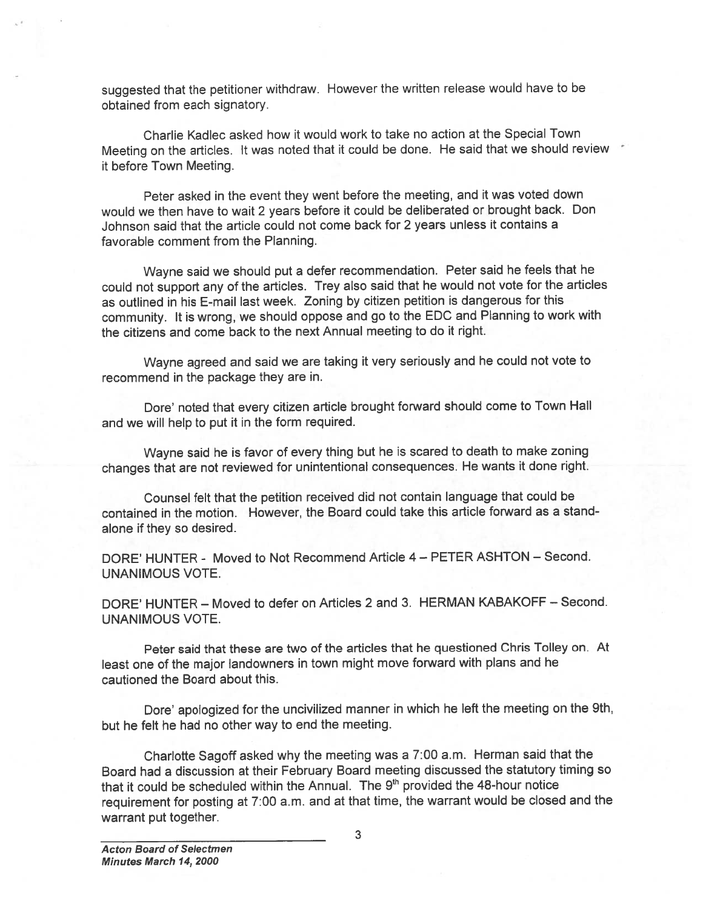suggested that the petitioner withdraw. However the written release would have to be obtained from each signatory.

Charlie Kadlec asked how it would work to take no action at the Special Town Meeting on the articles. It was noted that it could be done. He said that we should review it before Town Meeting.

Peter asked in the event they went before the meeting, and it was voted down would we then have to wait <sup>2</sup> years before it could be deliberated or brought back. Don Johnson said that the article could not come back for 2 years unless it contains <sup>a</sup> favorable comment from the Planning.

Wayne said we should pu<sup>t</sup> <sup>a</sup> defer recommendation. Peter said he feels that he could not suppor<sup>t</sup> any of the articles. Trey also said that he would not vote for the articles as outlined in his E-mail last week. Zoning by citizen petition is dangerous for this community. It is wrong, we should oppose and go to the EDC and Planning to work with the citizens and come back to the next Annual meeting to do it right.

Wayne agree<sup>d</sup> and said we are taking it very seriously and he could not vote to recommend in the package they are in.

Dore' noted that every citizen article brought forward should come to Town Hall and we will help to pu<sup>t</sup> it in the form required.

Wayne said he is favor of every thing but he is scared to death to make zoning changes that are not reviewed for unintentional consequences. He wants it done right.

Counsel felt that the petition received did not contain language that could be contained in the motion. However, the Board could take this article forward as <sup>a</sup> stand alone if they so desired.

DORE' HUNTER - Moved to Not Recommend Article 4— PETER ASHTON — Second. UNANIMOUS VOTE.

DORE' HUNTER — Moved to defer on Articles 2 and 3. HERMAN KABAKOFF — Second. UNANIMOUS VOTE.

Peter said that these are two of the articles that he questioned Chris Tolley on. At least one of the major landowners in town might move forward with <sup>p</sup>lans and he cautioned the Board about this.

Dore' apologized for the uncivilized manner in which he left the meeting on the 9th, but he felt he had no other way to end the meeting.

Charlotte Sagoff asked why the meeting was <sup>a</sup> 7:00 a.m. Herman said that the Board had <sup>a</sup> discussion at their February Board meeting discussed the statutory timing so that it could be scheduled within the Annual. The  $9<sup>th</sup>$  provided the 48-hour notice requirement for posting at 7:00 a.m. and at that time, the warrant would be closed and the suggested that the petitioner withdraw.<br>
obtained from each signatory.<br>
Charlie Kadlec asked how it wo<br>
Meeting on the articles. It was noted it<br>
it before Town Meeting.<br>
Peter asked in the event they w<br>
would we then have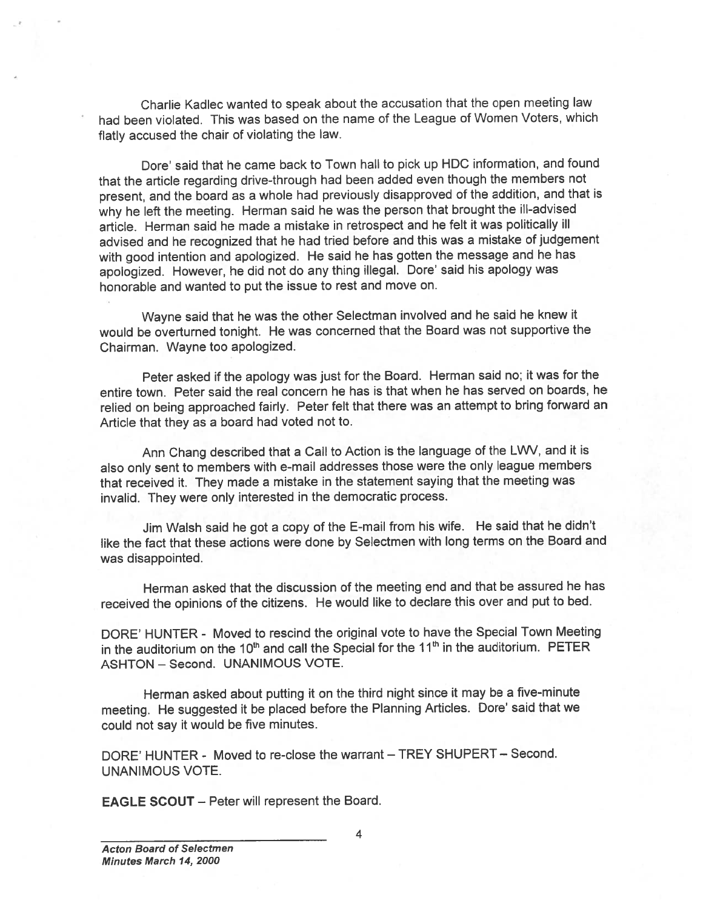Charlie Kadlec wanted to spea<sup>k</sup> about the accusation that the open meeting law had been violated. This was based on the name of the League of Women Voters, which flatly accused the chair of violating the law.

Dore' said that he came back to Town hall to pick up HDC information, and found that the article regarding drive-through had been added even though the members not present, and the board as <sup>a</sup> whole had previously disapproved of the addition, and that is why he left the meeting. Herman said he was the person that brought the ill-advised article. Herman said he made <sup>a</sup> mistake in retrospect and he felt it was politically ill advised and he recognized that he had tried before and this was <sup>a</sup> mistake of judgement with goo<sup>d</sup> intention and apologized. He said he has gotten the message and he has apologized. However, he did not do any thing illegal. Dore' said his apology was honorable and wanted to pu<sup>t</sup> the issue to rest and move on.

Wayne said that he was the other Selectman involved and he said he knew it would be overturned tonight. He was concerned that the Board was not supportive the Chairman. Wayne too apologized.

Peter asked if the apology was just for the Board. Herman said no; it was for the entire town. Peter said the real concern he has is that when he has served on boards, he relied on being approached fairly. Peter felt that there was an attempt to bring forward an Article that they as <sup>a</sup> board had voted not to.

Ann Chang described that <sup>a</sup> Call to Action is the language of the LWV, and it is also only sent to members with e-mail addresses those were the only league members that received it. They made <sup>a</sup> mistake in the statement saying that the meeting was invalid. They were only interested in the democratic process.

Jim Walsh said he go<sup>t</sup> <sup>a</sup> copy of the E-mail from his wife. He said that he didn't like the fact that these actions were done by Selectmen with long terms on the Board and was disappointed.

Herman asked that the discussion of the meeting end and that be assured he has received the opinions of the citizens. He would like to declare this over and pu<sup>t</sup> to bed.

DORE' HUNTER - Moved to rescind the original vote to have the Special Town Meeting in the auditorium on the 10<sup>th</sup> and call the Special for the 11<sup>th</sup> in the auditorium. PETER ASHTON — Second. UNANIMOUS VOTE.

Herman asked about putting it on the third night since it may be <sup>a</sup> five-minute meeting. He suggested it be <sup>p</sup>laced before the Planning Articles. Dore' said that we could not say it would be five minutes.

DORE' HUNTER - Moved to re-close the warrant — TREY SHUPERT — Second. UNANIMOUS VOTE.

EAGLE SCOUT — Peter will represen<sup>t</sup> the Board.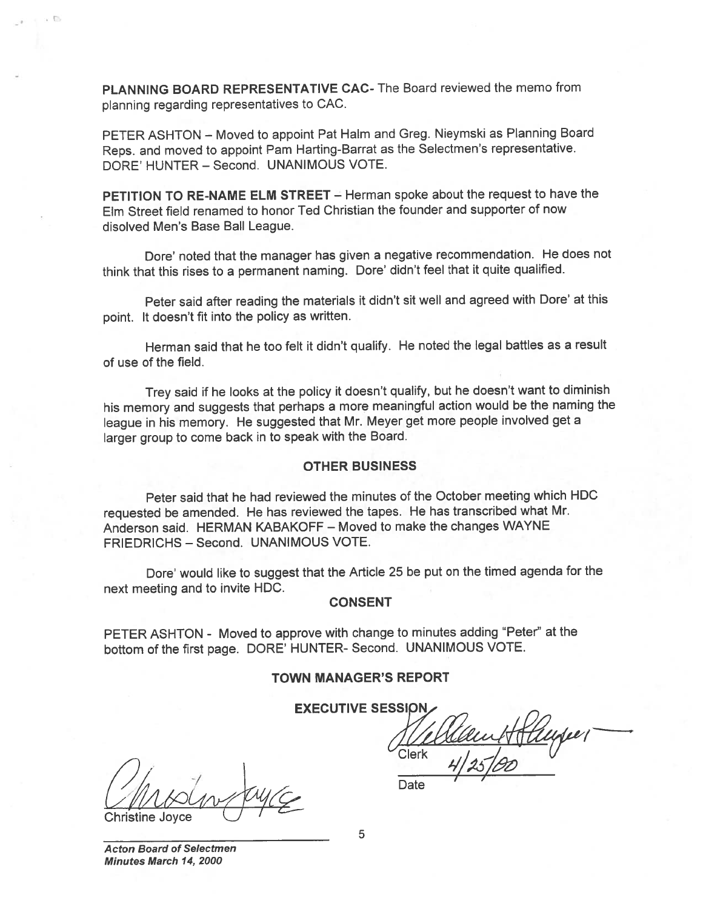PLANNING BOARD REPRESENTATIVE CAC- The Board reviewed the memo from <sup>p</sup>lanning regarding representatives to CAC.

PETER ASHTON — Moved to appoint Pat HaIm and Greg. Nieymski as Planning Board Reps. and moved to appoint Pam Harting-Barrat as the Selectmen's representative. DORE' HUNTER — Second. UNANIMOUS VOTE.

PETITION TO RE-NAME ELM STREET - Herman spoke about the request to have the Elm Street field renamed to honor Ted Christian the founder and supporter of now disolved Men's Base Ball League.

Dore' noted that the manager has <sup>g</sup>iven <sup>a</sup> negative recommendation. He does not think that this rises to <sup>a</sup> permanen<sup>t</sup> naming. Dore' didn't feel that it quite qualified.

Peter said after reading the materials it didn't sit well and agreed with Dore' at this point. It doesn't fit into the policy as written.

Herman said that he too felt it didn't qualify. He noted the legal battles as <sup>a</sup> result of use of the field.

Trey said if he looks at the policy it doesn't qualify, but he doesn't want to diminish his memory and suggests that perhaps <sup>a</sup> more meaningful action would be the naming the league in his memory. He suggested that Mr. Meyer ge<sup>t</sup> more people involved ge<sup>t</sup> <sup>a</sup> larger group to come back in to spea<sup>k</sup> with the Board.

#### OTHER BUSINESS

Peter said that he had reviewed the minutes of the October meeting which HDC requested be amended. He has reviewed the tapes. He has transcribed what Mr. Anderson said. HERMAN KABAKOFF — Moved to make the changes WAYNE FRIEDRICHS — Second. UNANIMOUS VOTE.

Dore' would like to sugges<sup>t</sup> that the Article <sup>25</sup> be pu<sup>t</sup> on the timed agenda for the next meeting and to invite HDC.

#### **CONSENT**

PETER ASHTON - Moved to approve with change to minutes adding "Peter" at the bottom of the first page. DORE' HUNTER- Second. UNANIMOUS VOTE.

#### TOWN MANAGER'S REPORT

**EXECUTIVE SESSION** 

Date

Clerk

**Christine Joyce** 

Acton Board of Selectmen Minutes March 14, 2000

5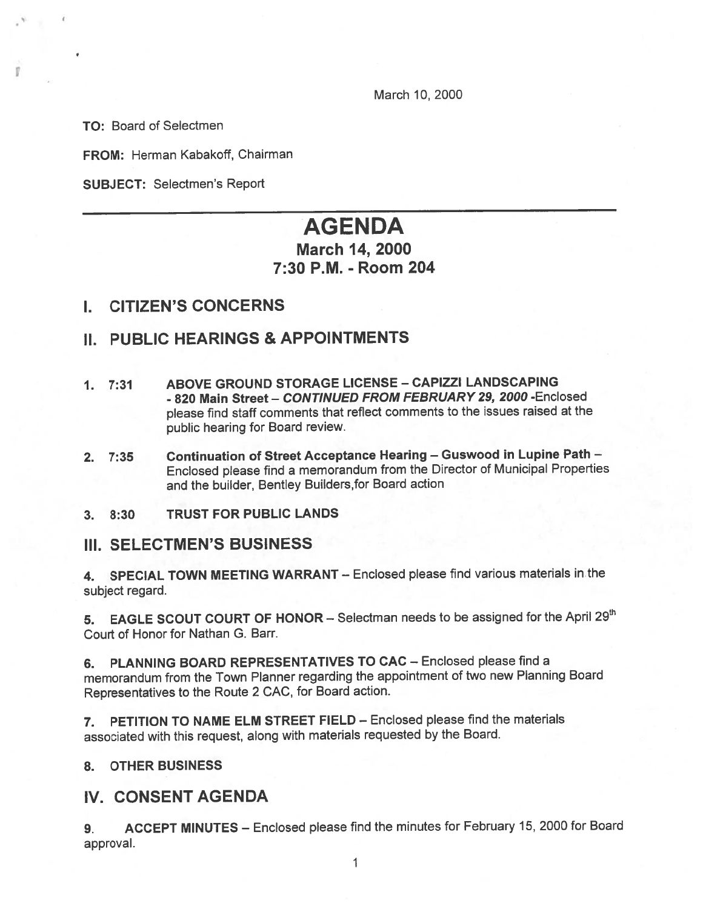March 10, 2000

TO: Board of Selectmen

FROM: Herman Kabakoff, Chairman

SUBJECT: Selectmen's Report

# AGENDA

# March 14, 2000 7:30 P.M. -Room 204

## I. CITIZEN'S CONCERNS

## II. PUBLIC HEARINGS & APPOINTMENTS

- 1. 7:31 ABOVE GROUND STORAGE LICENSE -CAPIZZI LANDSCAPING - 820 Main Street – CONTINUED FROM FEBRUARY 29, 2000 -Enclosed <sup>p</sup>lease find staff comments that reflect comments to the issues raised at the public hearing for Board review.
- 2.  $7:35$  Continuation of Street Acceptance Hearing Guswood in Lupine Path -Enclosed <sup>p</sup>lease find <sup>a</sup> memorandum from the Director of Municipal Properties and the builder, Bentley Builders,for Board action
- 3. 8:30 TRUST FOR PUBLIC LANDS

## III. SELECTMEN'S BUSINESS

4. SPECIAL TOWN MEETING WARRANT - Enclosed please find various materials in the subject regard.

5. EAGLE SCOUT COURT OF HONOR - Selectman needs to be assigned for the April 29<sup>th</sup> Court of Honor for Nathan G. Barr.

6. PLANNING BOARD REPRESENTATIVES TO CAC — Enclosed please find <sup>a</sup> memorandum from the Town Planner regarding the appointment of two new Planning Board Representatives to the Route <sup>2</sup> CAC, for Board action.

7. PETITION TO NAME ELM STREET FIELD — Enclosed please find the materials associated with this request, along with materials requested by the Board.

## 8. OTHER BUSINESS

## IV. CONSENT AGENDA

9. ACCEPT MINUTES — Enclosed <sup>p</sup>lease find the minutes for February 15, <sup>2000</sup> for Board approval.